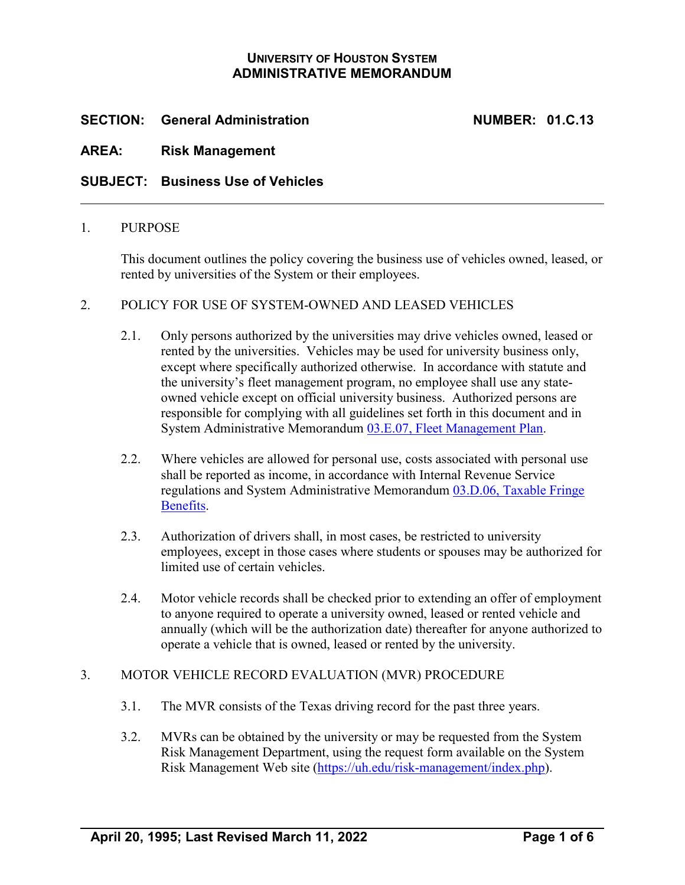# **UNIVERSITY OF HOUSTON SYSTEM ADMINISTRATIVE MEMORANDUM**

# **SECTION: General Administration NUMBER: 01.C.13**

## **AREA: Risk Management**

## **SUBJECT: Business Use of Vehicles**

#### 1. PURPOSE

This document outlines the policy covering the business use of vehicles owned, leased, or rented by universities of the System or their employees.

#### 2. POLICY FOR USE OF SYSTEM-OWNED AND LEASED VEHICLES

- 2.1. Only persons authorized by the universities may drive vehicles owned, leased or rented by the universities. Vehicles may be used for university business only, except where specifically authorized otherwise. In accordance with statute and the university's fleet management program, no employee shall use any stateowned vehicle except on official university business. Authorized persons are responsible for complying with all guidelines set forth in this document and in System Administrative Memorandum [03.E.07, Fleet Management Plan.](https://uhsystem.edu/compliance-ethics/_docs/sam/03/3e7.pdf)
- 2.2. Where vehicles are allowed for personal use, costs associated with personal use shall be reported as income, in accordance with Internal Revenue Service regulations and System Administrative Memorandum [03.D.06, Taxable Fringe](https://uhsystem.edu/compliance-ethics/_docs/sam/03/3d6.pdf)  [Benefits.](https://uhsystem.edu/compliance-ethics/_docs/sam/03/3d6.pdf)
- 2.3. Authorization of drivers shall, in most cases, be restricted to university employees, except in those cases where students or spouses may be authorized for limited use of certain vehicles.
- 2.4. Motor vehicle records shall be checked prior to extending an offer of employment to anyone required to operate a university owned, leased or rented vehicle and annually (which will be the authorization date) thereafter for anyone authorized to operate a vehicle that is owned, leased or rented by the university.

#### 3. MOTOR VEHICLE RECORD EVALUATION (MVR) PROCEDURE

- 3.1. The MVR consists of the Texas driving record for the past three years.
- 3.2. MVRs can be obtained by the university or may be requested from the System Risk Management Department, using the request form available on the System Risk Management Web site [\(https://uh.edu/risk-management/index.php\)](https://uh.edu/risk-management/index.php).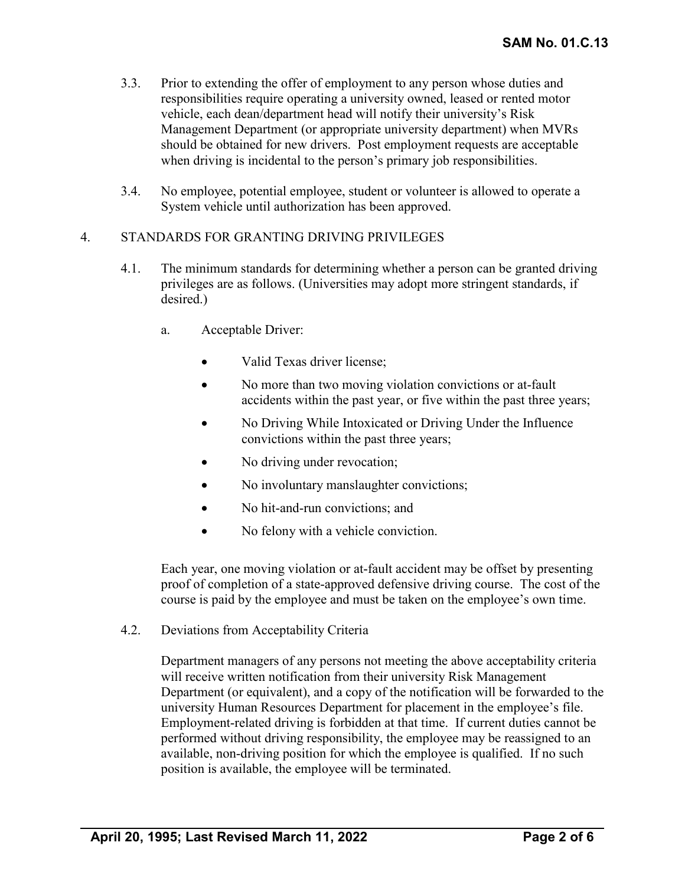- 3.3. Prior to extending the offer of employment to any person whose duties and responsibilities require operating a university owned, leased or rented motor vehicle, each dean/department head will notify their university's Risk Management Department (or appropriate university department) when MVRs should be obtained for new drivers. Post employment requests are acceptable when driving is incidental to the person's primary job responsibilities.
- 3.4. No employee, potential employee, student or volunteer is allowed to operate a System vehicle until authorization has been approved.

#### 4. STANDARDS FOR GRANTING DRIVING PRIVILEGES

- 4.1. The minimum standards for determining whether a person can be granted driving privileges are as follows. (Universities may adopt more stringent standards, if desired.)
	- a. Acceptable Driver:
		- Valid Texas driver license;
		- No more than two moving violation convictions or at-fault accidents within the past year, or five within the past three years;
		- No Driving While Intoxicated or Driving Under the Influence convictions within the past three years;
		- No driving under revocation;
		- No involuntary manslaughter convictions;
		- No hit-and-run convictions; and
		- No felony with a vehicle conviction.

Each year, one moving violation or at-fault accident may be offset by presenting proof of completion of a state-approved defensive driving course. The cost of the course is paid by the employee and must be taken on the employee's own time.

4.2. Deviations from Acceptability Criteria

Department managers of any persons not meeting the above acceptability criteria will receive written notification from their university Risk Management Department (or equivalent), and a copy of the notification will be forwarded to the university Human Resources Department for placement in the employee's file. Employment-related driving is forbidden at that time. If current duties cannot be performed without driving responsibility, the employee may be reassigned to an available, non-driving position for which the employee is qualified. If no such position is available, the employee will be terminated.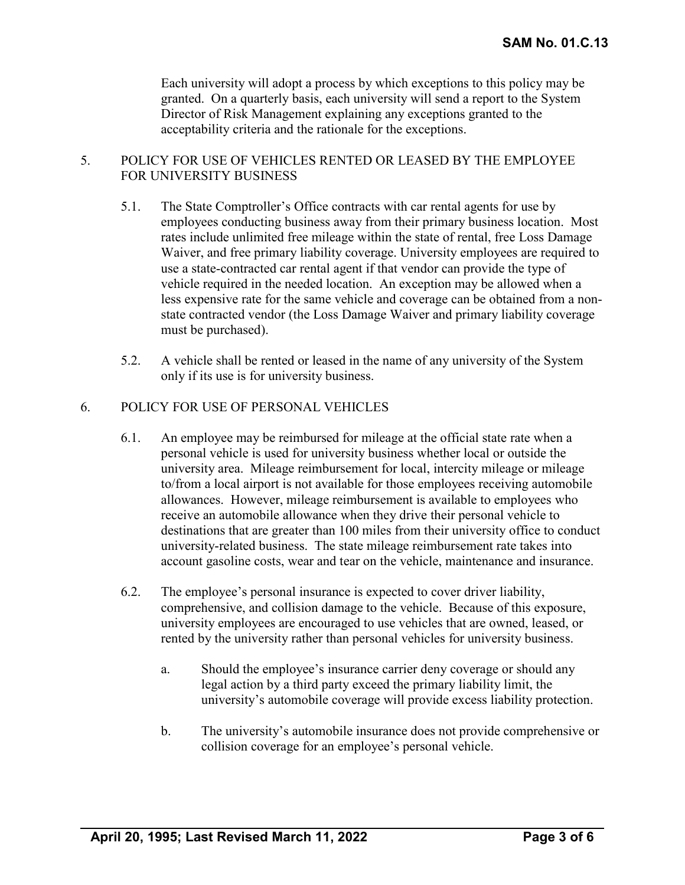Each university will adopt a process by which exceptions to this policy may be granted. On a quarterly basis, each university will send a report to the System Director of Risk Management explaining any exceptions granted to the acceptability criteria and the rationale for the exceptions.

## 5. POLICY FOR USE OF VEHICLES RENTED OR LEASED BY THE EMPLOYEE FOR UNIVERSITY BUSINESS

- 5.1. The State Comptroller's Office contracts with car rental agents for use by employees conducting business away from their primary business location. Most rates include unlimited free mileage within the state of rental, free Loss Damage Waiver, and free primary liability coverage. University employees are required to use a state-contracted car rental agent if that vendor can provide the type of vehicle required in the needed location. An exception may be allowed when a less expensive rate for the same vehicle and coverage can be obtained from a nonstate contracted vendor (the Loss Damage Waiver and primary liability coverage must be purchased).
- 5.2. A vehicle shall be rented or leased in the name of any university of the System only if its use is for university business.

#### 6. POLICY FOR USE OF PERSONAL VEHICLES

- 6.1. An employee may be reimbursed for mileage at the official state rate when a personal vehicle is used for university business whether local or outside the university area. Mileage reimbursement for local, intercity mileage or mileage to/from a local airport is not available for those employees receiving automobile allowances. However, mileage reimbursement is available to employees who receive an automobile allowance when they drive their personal vehicle to destinations that are greater than 100 miles from their university office to conduct university-related business. The state mileage reimbursement rate takes into account gasoline costs, wear and tear on the vehicle, maintenance and insurance.
- 6.2. The employee's personal insurance is expected to cover driver liability, comprehensive, and collision damage to the vehicle. Because of this exposure, university employees are encouraged to use vehicles that are owned, leased, or rented by the university rather than personal vehicles for university business.
	- a. Should the employee's insurance carrier deny coverage or should any legal action by a third party exceed the primary liability limit, the university's automobile coverage will provide excess liability protection.
	- b. The university's automobile insurance does not provide comprehensive or collision coverage for an employee's personal vehicle.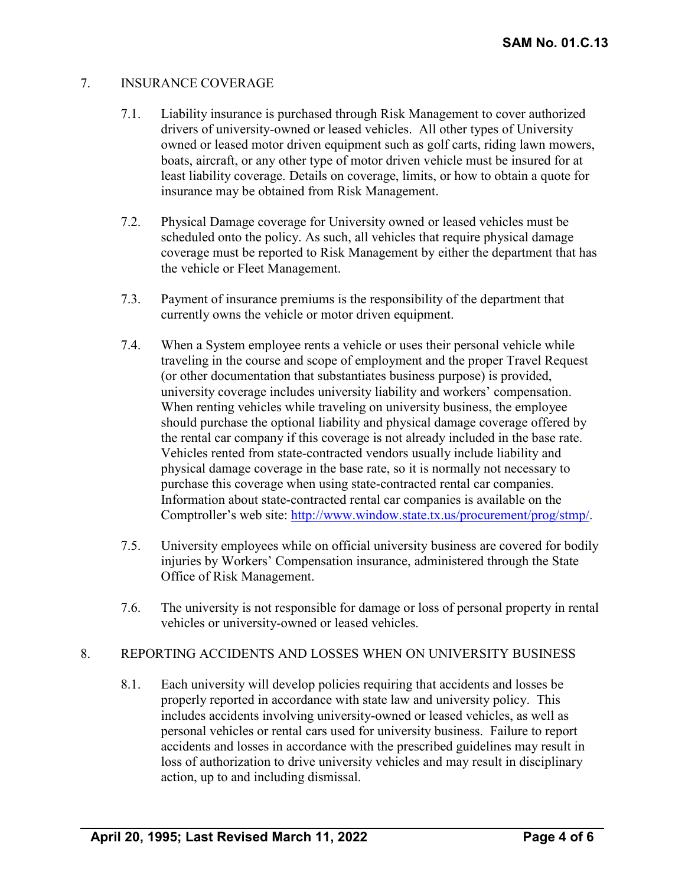## 7. INSURANCE COVERAGE

- 7.1. Liability insurance is purchased through Risk Management to cover authorized drivers of university-owned or leased vehicles. All other types of University owned or leased motor driven equipment such as golf carts, riding lawn mowers, boats, aircraft, or any other type of motor driven vehicle must be insured for at least liability coverage. Details on coverage, limits, or how to obtain a quote for insurance may be obtained from Risk Management.
- 7.2. Physical Damage coverage for University owned or leased vehicles must be scheduled onto the policy. As such, all vehicles that require physical damage coverage must be reported to Risk Management by either the department that has the vehicle or Fleet Management.
- 7.3. Payment of insurance premiums is the responsibility of the department that currently owns the vehicle or motor driven equipment.
- 7.4. When a System employee rents a vehicle or uses their personal vehicle while traveling in the course and scope of employment and the proper Travel Request (or other documentation that substantiates business purpose) is provided, university coverage includes university liability and workers' compensation. When renting vehicles while traveling on university business, the employee should purchase the optional liability and physical damage coverage offered by the rental car company if this coverage is not already included in the base rate. Vehicles rented from state-contracted vendors usually include liability and physical damage coverage in the base rate, so it is normally not necessary to purchase this coverage when using state-contracted rental car companies. Information about state-contracted rental car companies is available on the Comptroller's web site: [http://www.window.state.tx.us/procurement/prog/stmp/.](http://www.window.state.tx.us/procurement/prog/stmp/)
- 7.5. University employees while on official university business are covered for bodily injuries by Workers' Compensation insurance, administered through the State Office of Risk Management.
- 7.6. The university is not responsible for damage or loss of personal property in rental vehicles or university-owned or leased vehicles.

#### 8. REPORTING ACCIDENTS AND LOSSES WHEN ON UNIVERSITY BUSINESS

8.1. Each university will develop policies requiring that accidents and losses be properly reported in accordance with state law and university policy. This includes accidents involving university-owned or leased vehicles, as well as personal vehicles or rental cars used for university business. Failure to report accidents and losses in accordance with the prescribed guidelines may result in loss of authorization to drive university vehicles and may result in disciplinary action, up to and including dismissal.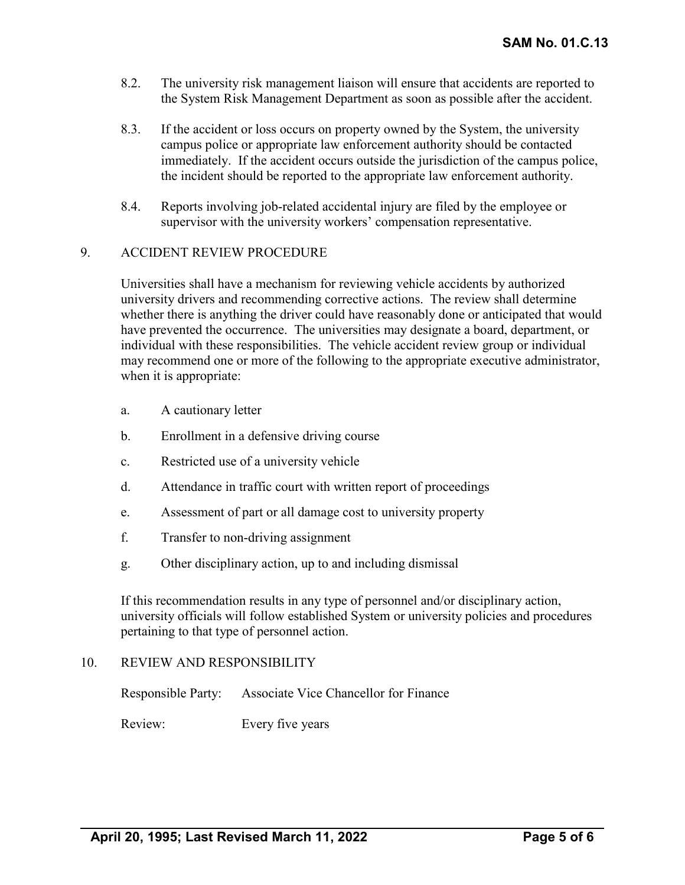- 8.2. The university risk management liaison will ensure that accidents are reported to the System Risk Management Department as soon as possible after the accident.
- 8.3. If the accident or loss occurs on property owned by the System, the university campus police or appropriate law enforcement authority should be contacted immediately. If the accident occurs outside the jurisdiction of the campus police, the incident should be reported to the appropriate law enforcement authority.
- 8.4. Reports involving job-related accidental injury are filed by the employee or supervisor with the university workers' compensation representative.

#### 9. ACCIDENT REVIEW PROCEDURE

Universities shall have a mechanism for reviewing vehicle accidents by authorized university drivers and recommending corrective actions. The review shall determine whether there is anything the driver could have reasonably done or anticipated that would have prevented the occurrence. The universities may designate a board, department, or individual with these responsibilities. The vehicle accident review group or individual may recommend one or more of the following to the appropriate executive administrator, when it is appropriate:

- a. A cautionary letter
- b. Enrollment in a defensive driving course
- c. Restricted use of a university vehicle
- d. Attendance in traffic court with written report of proceedings
- e. Assessment of part or all damage cost to university property
- f. Transfer to non-driving assignment
- g. Other disciplinary action, up to and including dismissal

If this recommendation results in any type of personnel and/or disciplinary action, university officials will follow established System or university policies and procedures pertaining to that type of personnel action.

#### 10. REVIEW AND RESPONSIBILITY

Responsible Party: Associate Vice Chancellor for Finance

Review: Every five years